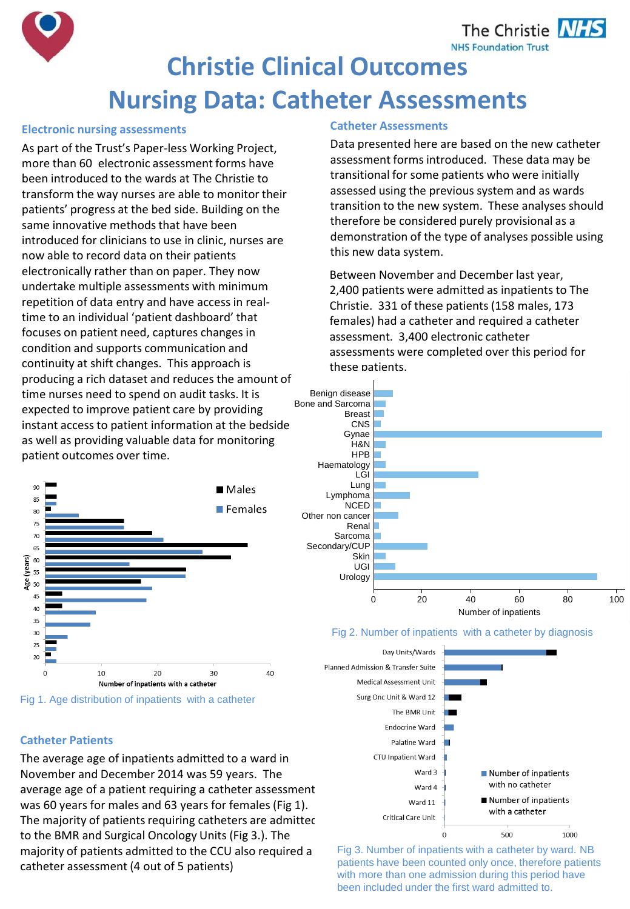The Christie **NHS NHS Foundation Trust** 



## **Electronic nursing assessments**

As part of the Trust's Paper-less Working Project, more than 60 electronic assessment forms have been introduced to the wards at The Christie to transform the way nurses are able to monitor their patients' progress at the bed side. Building on the same innovative methods that have been introduced for clinicians to use in clinic, nurses are now able to record data on their patients electronically rather than on paper. They now undertake multiple assessments with minimum repetition of data entry and have access in realtime to an individual 'patient dashboard' that focuses on patient need, captures changes in condition and supports communication and continuity at shift changes. This approach is producing a rich dataset and reduces the amount of time nurses need to spend on audit tasks. It is expected to improve patient care by providing instant access to patient information at the bedside as well as providing valuable data for monitoring patient outcomes over time.





## **Catheter Assessments**

Data presented here are based on the new catheter assessment forms introduced. These data may be transitional for some patients who were initially assessed using the previous system and as wards transition to the new system. These analyses should therefore be considered purely provisional as a demonstration of the type of analyses possible using this new data system.

Between November and December last year, 2,400 patients were admitted as inpatients to The Christie. 331 of these patients (158 males, 173 females) had a catheter and required a catheter assessment. 3,400 electronic catheter assessments were completed over this period for these patients.







Fig 3. Number of inpatients with a catheter by ward. NB patients have been counted only once, therefore patients with more than one admission during this period have been included under the first ward admitted to.

# **Catheter Patients**

The average age of inpatients admitted to a ward in November and December 2014 was 59 years. The average age of a patient requiring a catheter assessment was 60 years for males and 63 years for females (Fig 1). The majority of patients requiring catheters are admitted to the BMR and Surgical Oncology Units (Fig 3.). The majority of patients admitted to the CCU also required a catheter assessment (4 out of 5 patients)